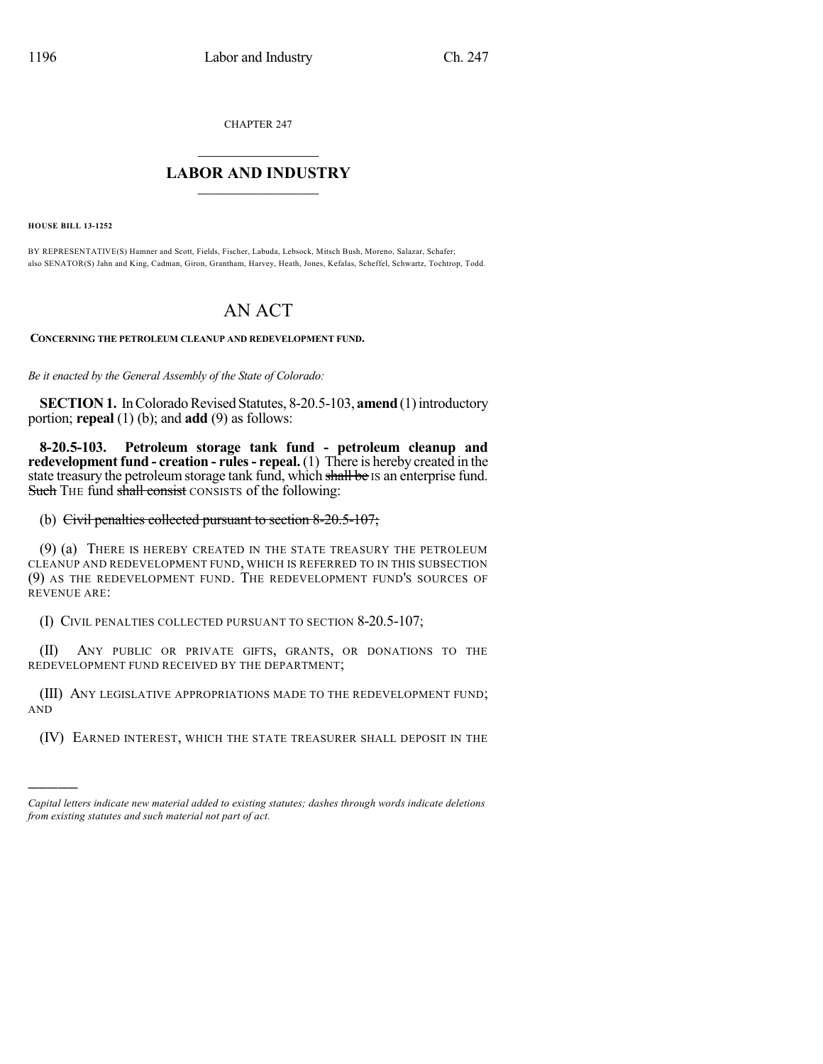CHAPTER 247

## $\overline{\phantom{a}}$  . The set of the set of the set of the set of the set of the set of the set of the set of the set of the set of the set of the set of the set of the set of the set of the set of the set of the set of the set o **LABOR AND INDUSTRY**  $\frac{1}{\sqrt{2}}$  ,  $\frac{1}{\sqrt{2}}$  ,  $\frac{1}{\sqrt{2}}$  ,  $\frac{1}{\sqrt{2}}$  ,  $\frac{1}{\sqrt{2}}$  ,  $\frac{1}{\sqrt{2}}$

**HOUSE BILL 13-1252**

)))))

BY REPRESENTATIVE(S) Hamner and Scott, Fields, Fischer, Labuda, Lebsock, Mitsch Bush, Moreno, Salazar, Schafer; also SENATOR(S) Jahn and King, Cadman, Giron, Grantham, Harvey, Heath, Jones, Kefalas, Scheffel, Schwartz, Tochtrop, Todd.

## AN ACT

**CONCERNING THE PETROLEUM CLEANUP AND REDEVELOPMENT FUND.**

*Be it enacted by the General Assembly of the State of Colorado:*

**SECTION 1.** In Colorado Revised Statutes, 8-20.5-103, **amend** (1) introductory portion; **repeal** (1) (b); and **add** (9) as follows:

**8-20.5-103. Petroleum storage tank fund - petroleum cleanup and redevelopment fund - creation - rules- repeal.** (1) There is hereby created in the state treasury the petroleum storage tank fund, which shall be IS an enterprise fund. Such THE fund shall consist CONSISTS of the following:

## (b) Civil penalties collected pursuant to section 8-20.5-107;

(9) (a) THERE IS HEREBY CREATED IN THE STATE TREASURY THE PETROLEUM CLEANUP AND REDEVELOPMENT FUND, WHICH IS REFERRED TO IN THIS SUBSECTION (9) AS THE REDEVELOPMENT FUND. THE REDEVELOPMENT FUND'S SOURCES OF REVENUE ARE:

(I) CIVIL PENALTIES COLLECTED PURSUANT TO SECTION 8-20.5-107;

(II) ANY PUBLIC OR PRIVATE GIFTS, GRANTS, OR DONATIONS TO THE REDEVELOPMENT FUND RECEIVED BY THE DEPARTMENT;

(III) ANY LEGISLATIVE APPROPRIATIONS MADE TO THE REDEVELOPMENT FUND; AND

(IV) EARNED INTEREST, WHICH THE STATE TREASURER SHALL DEPOSIT IN THE

*Capital letters indicate new material added to existing statutes; dashes through words indicate deletions from existing statutes and such material not part of act.*